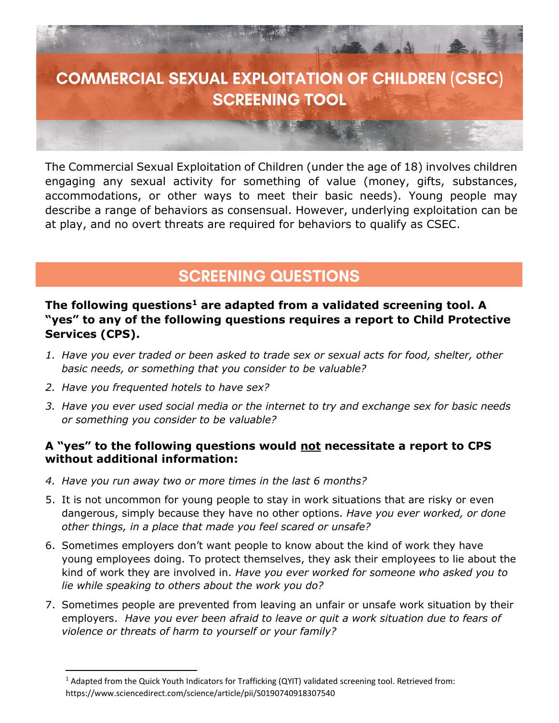

The Commercial Sexual Exploitation of Children (under the age of 18) involves children engaging any sexual activity for something of value (money, gifts, substances, accommodations, or other ways to meet their basic needs). Young people may describe a range of behaviors as consensual. However, underlying exploitation can be at play, and no overt threats are required for behaviors to qualify as CSEC.

## **SCREENING QUESTIONS**

### **The following questions<sup>1</sup> are adapted from a validated screening tool. A "yes" to any of the following questions requires a report to Child Protective Services (CPS).**

- *1. Have you ever traded or been asked to trade sex or sexual acts for food, shelter, other basic needs, or something that you consider to be valuable?*
- *2. Have you frequented hotels to have sex?*

Ĩ

*3. Have you ever used social media or the internet to try and exchange sex for basic needs or something you consider to be valuable?*

#### **A "yes" to the following questions would not necessitate a report to CPS without additional information:**

- *4. Have you run away two or more times in the last 6 months?*
- 5. It is not uncommon for young people to stay in work situations that are risky or even dangerous, simply because they have no other options. *Have you ever worked, or done other things, in a place that made you feel scared or unsafe?*
- 6. Sometimes employers don't want people to know about the kind of work they have young employees doing. To protect themselves, they ask their employees to lie about the kind of work they are involved in. *Have you ever worked for someone who asked you to lie while speaking to others about the work you do?*
- 7. Sometimes people are prevented from leaving an unfair or unsafe work situation by their employers. *Have you ever been afraid to leave or quit a work situation due to fears of violence or threats of harm to yourself or your family?*

<sup>1</sup> Adapted from the Quick Youth Indicators for Trafficking (QYIT) validated screening tool. Retrieved from: https://www.sciencedirect.com/science/article/pii/S0190740918307540